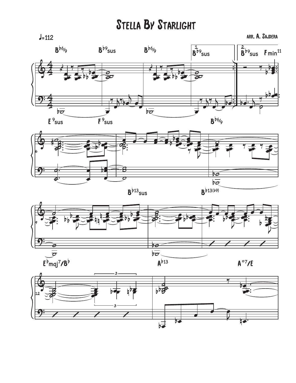## **STELLA BY STARLIGHT**

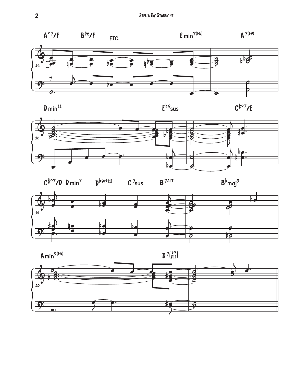



b9<br>sus







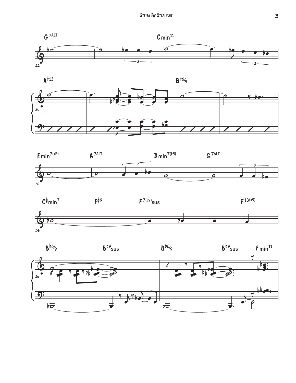